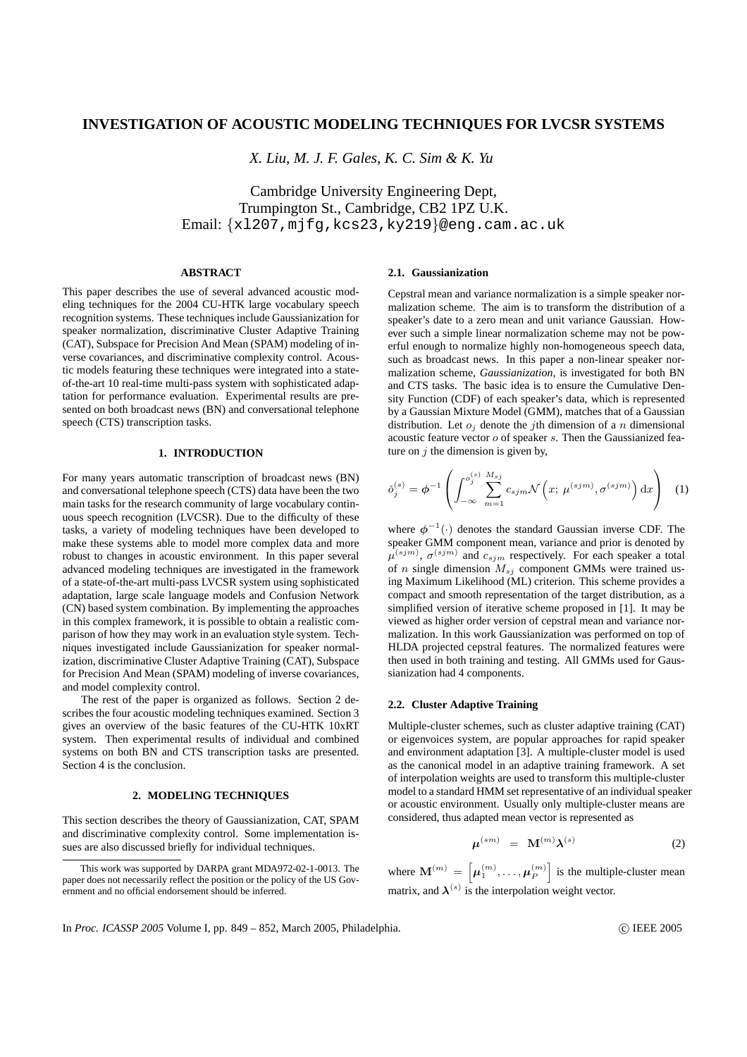# **INVESTIGATION OF ACOUSTIC MODELING TECHNIQUES FOR LVCSR SYSTEMS**

*X. Liu, M. J. F. Gales, K. C. Sim & K. Yu*

Cambridge University Engineering Dept, Trumpington St., Cambridge, CB2 1PZ U.K. Email: {xl207,mjfg,kcs23,ky219}@eng.cam.ac.uk

# **ABSTRACT**

This paper describes the use of several advanced acoustic modeling techniques for the 2004 CU-HTK large vocabulary speech recognition systems. These techniques include Gaussianization for speaker normalization, discriminative Cluster Adaptive Training (CAT), Subspace for Precision And Mean (SPAM) modeling of inverse covariances, and discriminative complexity control. Acoustic models featuring these techniques were integrated into a stateof-the-art 10 real-time multi-pass system with sophisticated adaptation for performance evaluation. Experimental results are presented on both broadcast news (BN) and conversational telephone speech (CTS) transcription tasks.

## **1. INTRODUCTION**

For many years automatic transcription of broadcast news (BN) and conversational telephone speech (CTS) data have been the two main tasks for the research community of large vocabulary continuous speech recognition (LVCSR). Due to the difficulty of these tasks, a variety of modeling techniques have been developed to make these systems able to model more complex data and more robust to changes in acoustic environment. In this paper several advanced modeling techniques are investigated in the framework of a state-of-the-art multi-pass LVCSR system using sophisticated adaptation, large scale language models and Confusion Network (CN) based system combination. By implementing the approaches in this complex framework, it is possible to obtain a realistic comparison of how they may work in an evaluation style system. Techniques investigated include Gaussianization for speaker normalization, discriminative Cluster Adaptive Training (CAT), Subspace for Precision And Mean (SPAM) modeling of inverse covariances, and model complexity control.

The rest of the paper is organized as follows. Section 2 describes the four acoustic modeling techniques examined. Section 3 gives an overview of the basic features of the CU-HTK 10xRT system. Then experimental results of individual and combined systems on both BN and CTS transcription tasks are presented. Section 4 is the conclusion.

# **2. MODELING TECHNIQUES**

This section describes the theory of Gaussianization, CAT, SPAM and discriminative complexity control. Some implementation issues are also discussed briefly for individual techniques.

#### **2.1. Gaussianization**

Cepstral mean and variance normalization is a simple speaker normalization scheme. The aim is to transform the distribution of a speaker's date to a zero mean and unit variance Gaussian. However such a simple linear normalization scheme may not be powerful enough to normalize highly non-homogeneous speech data, such as broadcast news. In this paper a non-linear speaker normalization scheme, *Gaussianization*, is investigated for both BN and CTS tasks. The basic idea is to ensure the Cumulative Density Function (CDF) of each speaker's data, which is represented by a Gaussian Mixture Model (GMM), matches that of a Gaussian distribution. Let  $o_i$  denote the *j*th dimension of a *n* dimensional acoustic feature vector  $o$  of speaker  $s$ . Then the Gaussianized feature on  $j$  the dimension is given by,

$$
\check{\sigma}_j^{(s)} = \phi^{-1} \left( \int_{-\infty}^{o_j^{(s)}} \sum_{m=1}^{M_{sj}} c_{sjm} \mathcal{N} \left( x; \ \mu^{(sjm)}, \sigma^{(sjm)} \right) \mathrm{d}x \right) \tag{1}
$$

where  $\phi^{-1}(\cdot)$  denotes the standard Gaussian inverse CDF. The speaker GMM component mean, variance and prior is denoted by  $\mu^{(sjm)}$ ,  $\sigma^{(sjm)}$  and  $c_{sjm}$  respectively. For each speaker a total of n single dimension  $M_{sj}$  component GMMs were trained using Maximum Likelihood (ML) criterion. This scheme provides a compact and smooth representation of the target distribution, as a simplified version of iterative scheme proposed in [1]. It may be viewed as higher order version of cepstral mean and variance normalization. In this work Gaussianization was performed on top of HLDA projected cepstral features. The normalized features were then used in both training and testing. All GMMs used for Gaussianization had 4 components.

# **2.2. Cluster Adaptive Training**

Multiple-cluster schemes, such as cluster adaptive training (CAT) or eigenvoices system, are popular approaches for rapid speaker and environment adaptation [3]. A multiple-cluster model is used as the canonical model in an adaptive training framework. A set of interpolation weights are used to transform this multiple-cluster model to a standard HMM set representative of an individual speaker or acoustic environment. Usually only multiple-cluster means are considered, thus adapted mean vector is represented as

$$
\mu^{(sm)} = \mathbf{M}^{(m)} \lambda^{(s)} \tag{2}
$$

where  $\mathbf{M}^{(m)} = \left[ \boldsymbol{\mu}_1^{(m)}, \dots, \boldsymbol{\mu}_P^{(m)} \right]$  is the multiple-cluster mean matrix, and  $\lambda^{(s)}$  is the interpolation weight vector.

In *Proc. ICASSP* 2005 Volume I, pp. 849 – 852, March 2005, Philadelphia. (C) IEEE 2005

This work was supported by DARPA grant MDA972-02-1-0013. The paper does not necessarily reflect the position or the policy of the US Government and no official endorsement should be inferred.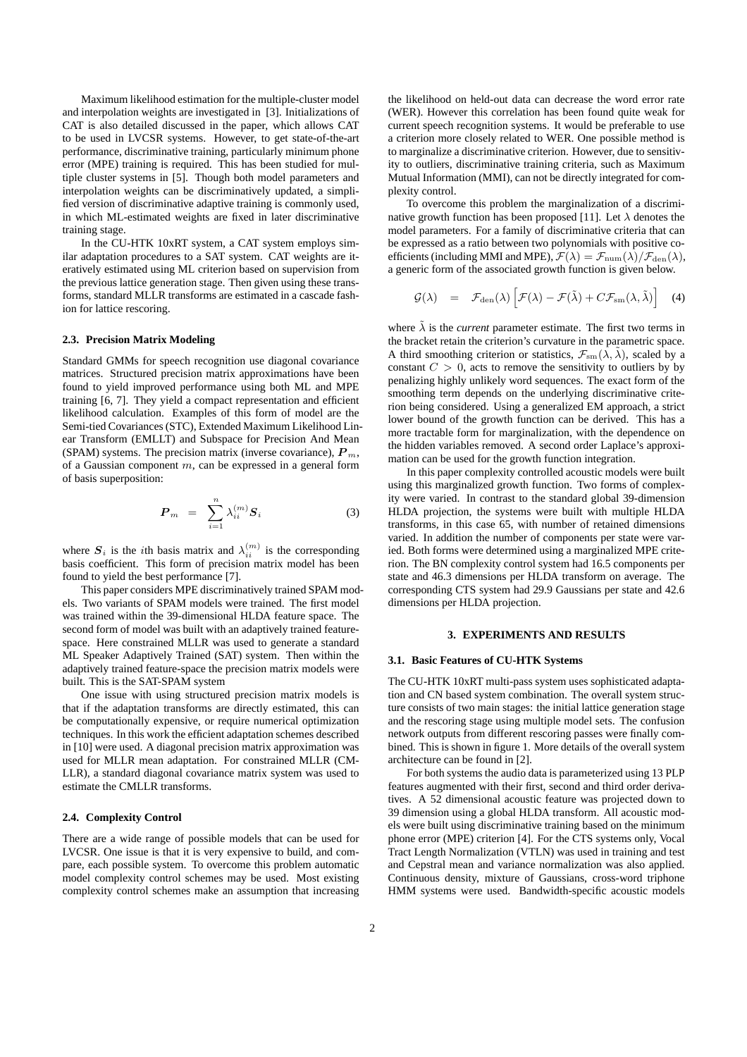Maximum likelihood estimation for the multiple-cluster model and interpolation weights are investigated in [3]. Initializations of CAT is also detailed discussed in the paper, which allows CAT to be used in LVCSR systems. However, to get state-of-the-art performance, discriminative training, particularly minimum phone error (MPE) training is required. This has been studied for multiple cluster systems in [5]. Though both model parameters and interpolation weights can be discriminatively updated, a simplified version of discriminative adaptive training is commonly used, in which ML-estimated weights are fixed in later discriminative training stage.

In the CU-HTK 10xRT system, a CAT system employs similar adaptation procedures to a SAT system. CAT weights are iteratively estimated using ML criterion based on supervision from the previous lattice generation stage. Then given using these transforms, standard MLLR transforms are estimated in a cascade fashion for lattice rescoring.

#### **2.3. Precision Matrix Modeling**

Standard GMMs for speech recognition use diagonal covariance matrices. Structured precision matrix approximations have been found to yield improved performance using both ML and MPE training [6, 7]. They yield a compact representation and efficient likelihood calculation. Examples of this form of model are the Semi-tied Covariances(STC), Extended Maximum Likelihood Linear Transform (EMLLT) and Subspace for Precision And Mean (SPAM) systems. The precision matrix (inverse covariance),  $P_m$ , of a Gaussian component  $m$ , can be expressed in a general form of basis superposition:

$$
\boldsymbol{P}_m = \sum_{i=1}^n \lambda_{ii}^{(m)} \boldsymbol{S}_i \tag{3}
$$

where  $S_i$  is the *i*th basis matrix and  $\lambda_{ii}^{(m)}$  is the corresponding basis coefficient. This form of precision matrix model has been found to yield the best performance [7].

This paper considers MPE discriminatively trained SPAM models. Two variants of SPAM models were trained. The first model was trained within the 39-dimensional HLDA feature space. The second form of model was built with an adaptively trained featurespace. Here constrained MLLR was used to generate a standard ML Speaker Adaptively Trained (SAT) system. Then within the adaptively trained feature-space the precision matrix models were built. This is the SAT-SPAM system

One issue with using structured precision matrix models is that if the adaptation transforms are directly estimated, this can be computationally expensive, or require numerical optimization techniques. In this work the efficient adaptation schemes described in [10] were used. A diagonal precision matrix approximation was used for MLLR mean adaptation. For constrained MLLR (CM-LLR), a standard diagonal covariance matrix system was used to estimate the CMLLR transforms.

### **2.4. Complexity Control**

There are a wide range of possible models that can be used for LVCSR. One issue is that it is very expensive to build, and compare, each possible system. To overcome this problem automatic model complexity control schemes may be used. Most existing complexity control schemes make an assumption that increasing

the likelihood on held-out data can decrease the word error rate (WER). However this correlation has been found quite weak for current speech recognition systems. It would be preferable to use a criterion more closely related to WER. One possible method is to marginalize a discriminative criterion. However, due to sensitivity to outliers, discriminative training criteria, such as Maximum Mutual Information (MMI), can not be directly integrated for complexity control.

To overcome this problem the marginalization of a discriminative growth function has been proposed [11]. Let  $\lambda$  denotes the model parameters. For a family of discriminative criteria that can be expressed as a ratio between two polynomials with positive coefficients (including MMI and MPE),  $\mathcal{F}(\lambda) = \mathcal{F}_{num}(\lambda)/\mathcal{F}_{den}(\lambda)$ , a generic form of the associated growth function is given below.

$$
\mathcal{G}(\lambda) = \mathcal{F}_{den}(\lambda) \left[ \mathcal{F}(\lambda) - \mathcal{F}(\tilde{\lambda}) + C \mathcal{F}_{sm}(\lambda, \tilde{\lambda}) \right] \quad (4)
$$

where  $\tilde{\lambda}$  is the *current* parameter estimate. The first two terms in the bracket retain the criterion's curvature in the parametric space. A third smoothing criterion or statistics,  $\mathcal{F}_{\rm sm}(\lambda, \lambda)$ , scaled by a constant  $C > 0$ , acts to remove the sensitivity to outliers by by penalizing highly unlikely word sequences. The exact form of the smoothing term depends on the underlying discriminative criterion being considered. Using a generalized EM approach, a strict lower bound of the growth function can be derived. This has a more tractable form for marginalization, with the dependence on the hidden variables removed. A second order Laplace's approximation can be used for the growth function integration.

In this paper complexity controlled acoustic models were built using this marginalized growth function. Two forms of complexity were varied. In contrast to the standard global 39-dimension HLDA projection, the systems were built with multiple HLDA transforms, in this case 65, with number of retained dimensions varied. In addition the number of components per state were varied. Both forms were determined using a marginalized MPE criterion. The BN complexity control system had 16.5 components per state and 46.3 dimensions per HLDA transform on average. The corresponding CTS system had 29.9 Gaussians per state and 42.6 dimensions per HLDA projection.

### **3. EXPERIMENTS AND RESULTS**

#### **3.1. Basic Features of CU-HTK Systems**

The CU-HTK 10xRT multi-pass system uses sophisticated adaptation and CN based system combination. The overall system structure consists of two main stages: the initial lattice generation stage and the rescoring stage using multiple model sets. The confusion network outputs from different rescoring passes were finally combined. This is shown in figure 1. More details of the overall system architecture can be found in [2].

For both systems the audio data is parameterized using 13 PLP features augmented with their first, second and third order derivatives. A 52 dimensional acoustic feature was projected down to 39 dimension using a global HLDA transform. All acoustic models were built using discriminative training based on the minimum phone error (MPE) criterion [4]. For the CTS systems only, Vocal Tract Length Normalization (VTLN) was used in training and test and Cepstral mean and variance normalization was also applied. Continuous density, mixture of Gaussians, cross-word triphone HMM systems were used. Bandwidth-specific acoustic models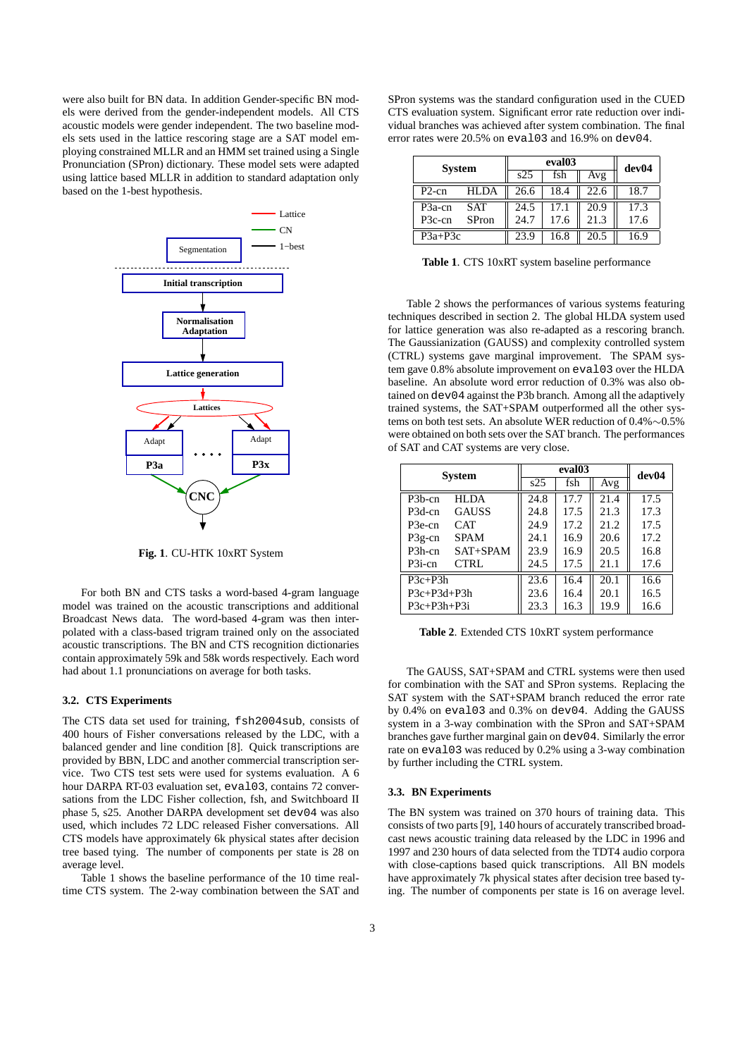were also built for BN data. In addition Gender-specific BN models were derived from the gender-independent models. All CTS acoustic models were gender independent. The two baseline models sets used in the lattice rescoring stage are a SAT model employing constrained MLLR and an HMM set trained using a Single Pronunciation (SPron) dictionary. These model sets were adapted using lattice based MLLR in addition to standard adaptation only based on the 1-best hypothesis.



**Fig. 1**. CU-HTK 10xRT System

For both BN and CTS tasks a word-based 4-gram language model was trained on the acoustic transcriptions and additional Broadcast News data. The word-based 4-gram was then interpolated with a class-based trigram trained only on the associated acoustic transcriptions. The BN and CTS recognition dictionaries contain approximately 59k and 58k words respectively. Each word had about 1.1 pronunciations on average for both tasks.

### **3.2. CTS Experiments**

The CTS data set used for training, fsh2004sub, consists of 400 hours of Fisher conversations released by the LDC, with a balanced gender and line condition [8]. Quick transcriptions are provided by BBN, LDC and another commercial transcription service. Two CTS test sets were used for systems evaluation. A 6 hour DARPA RT-03 evaluation set, eval03, contains 72 conversations from the LDC Fisher collection, fsh, and Switchboard II phase 5, s25. Another DARPA development set dev04 was also used, which includes 72 LDC released Fisher conversations. All CTS models have approximately 6k physical states after decision tree based tying. The number of components per state is 28 on average level.

Table 1 shows the baseline performance of the 10 time realtime CTS system. The 2-way combination between the SAT and

SPron systems was the standard configuration used in the CUED CTS evaluation system. Significant error rate reduction over individual branches was achieved after system combination. The final error rates were 20.5% on eval03 and 16.9% on dev04.

| <b>System</b>       |       | eval03 |      |      | dev04 |
|---------------------|-------|--------|------|------|-------|
|                     |       | s25    | fsh  | Avg  |       |
| $P2-cn$             | HLDA  | 26.6   | 18.4 | 22.6 | 18.7  |
| P <sub>3</sub> a-cn | SAT   | 24.5   | 17.1 | 20.9 | 17.3  |
| P <sub>3</sub> c-cn | SPron | 24.7   | 17.6 | 21.3 | 17.6  |
| $P3a+P3c$           |       | 23.9   | 16.8 | 20.5 | 6.9   |

**Table 1**. CTS 10xRT system baseline performance

Table 2 shows the performances of various systems featuring techniques described in section 2. The global HLDA system used for lattice generation was also re-adapted as a rescoring branch. The Gaussianization (GAUSS) and complexity controlled system (CTRL) systems gave marginal improvement. The SPAM system gave 0.8% absolute improvement on eval03 over the HLDA baseline. An absolute word error reduction of 0.3% was also obtained on dev04 against the P3b branch. Among all the adaptively trained systems, the SAT+SPAM outperformed all the other systems on both test sets. An absolute WER reduction of 0.4%∼0.5% were obtained on both sets over the SAT branch. The performances of SAT and CAT systems are very close.

| <b>System</b> |              | eval <sub>03</sub> |      |      | dev04 |
|---------------|--------------|--------------------|------|------|-------|
|               |              | $\overline{s25}$   | fsh  | Avg  |       |
| $P3b$ -cn     | <b>HLDA</b>  | 24.8               | 17.7 | 21.4 | 17.5  |
| P3d-cn        | <b>GAUSS</b> | 24.8               | 17.5 | 21.3 | 17.3  |
| P3e-cn        | <b>CAT</b>   | 24.9               | 17.2 | 21.2 | 17.5  |
| $P3g$ -cn     | <b>SPAM</b>  | 24.1               | 16.9 | 20.6 | 17.2  |
| $P3h$ -cn     | $SAT+SPAM$   | 23.9               | 16.9 | 20.5 | 16.8  |
| $P3i$ -cn     | <b>CTRL</b>  | 24.5               | 17.5 | 21.1 | 17.6  |
| $P3c+P3h$     |              | 23.6               | 16.4 | 20.1 | 16.6  |
| $P3c+P3d+P3h$ |              | 23.6               | 16.4 | 20.1 | 16.5  |
| $P3c+P3h+P3i$ |              | 23.3               | 16.3 | 19.9 | 16.6  |

**Table 2**. Extended CTS 10xRT system performance

The GAUSS, SAT+SPAM and CTRL systems were then used for combination with the SAT and SPron systems. Replacing the SAT system with the SAT+SPAM branch reduced the error rate by 0.4% on eval03 and 0.3% on dev04. Adding the GAUSS system in a 3-way combination with the SPron and SAT+SPAM branches gave further marginal gain on dev04. Similarly the error rate on eval03 was reduced by 0.2% using a 3-way combination by further including the CTRL system.

#### **3.3. BN Experiments**

The BN system was trained on 370 hours of training data. This consists of two parts[9], 140 hours of accurately transcribed broadcast news acoustic training data released by the LDC in 1996 and 1997 and 230 hours of data selected from the TDT4 audio corpora with close-captions based quick transcriptions. All BN models have approximately 7k physical states after decision tree based tying. The number of components per state is 16 on average level.